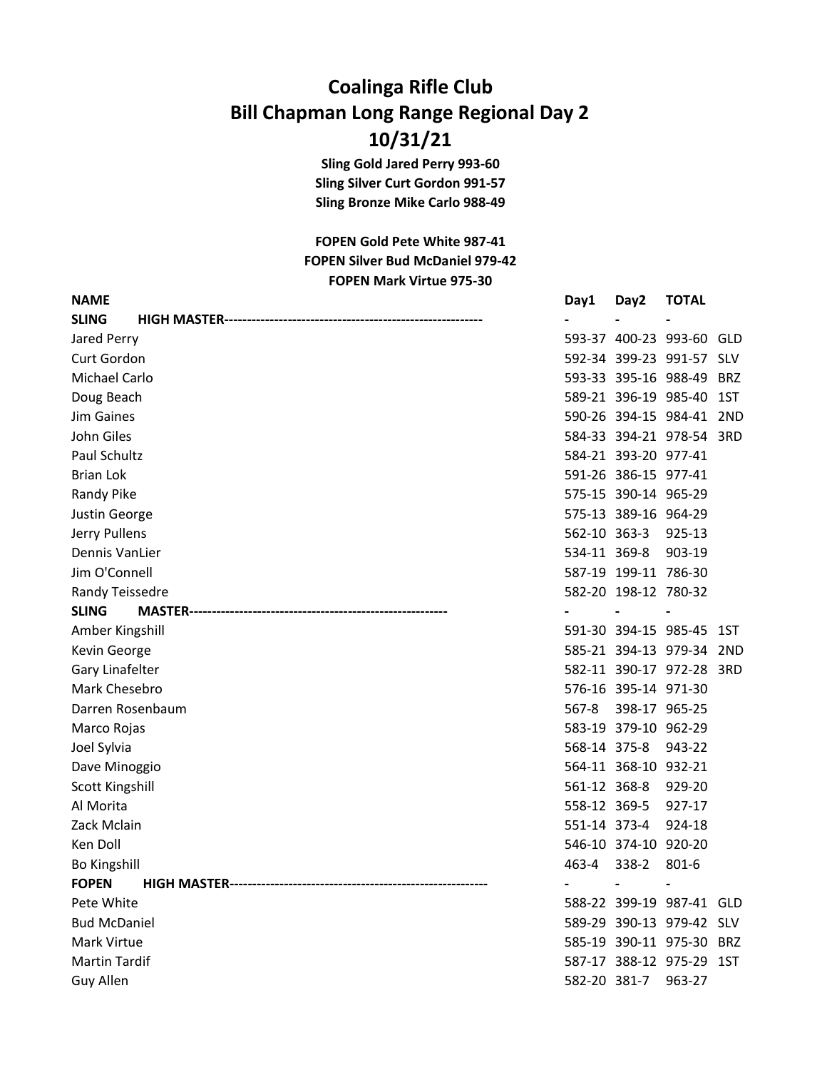## Coalinga Rifle Club Bill Chapman Long Range Regional Day 2 10/31/21

Sling Gold Jared Perry 993-60 Sling Silver Curt Gordon 991-57 Sling Bronze Mike Carlo 988-49

FOPEN Silver Bud McDaniel 979-42 FOPEN Mark Virtue 975-30 FOPEN Gold Pete White 987-41

| <b>NAME</b>            | Day1         | Day2                     | <b>TOTAL</b>             |  |
|------------------------|--------------|--------------------------|--------------------------|--|
| <b>SLING</b>           |              |                          |                          |  |
| Jared Perry            |              |                          | 593-37 400-23 993-60 GLD |  |
| Curt Gordon            |              |                          | 592-34 399-23 991-57 SLV |  |
| Michael Carlo          |              |                          | 593-33 395-16 988-49 BRZ |  |
| Doug Beach             |              |                          | 589-21 396-19 985-40 1ST |  |
| Jim Gaines             |              |                          | 590-26 394-15 984-41 2ND |  |
| John Giles             |              |                          | 584-33 394-21 978-54 3RD |  |
| Paul Schultz           |              | 584-21 393-20 977-41     |                          |  |
| <b>Brian Lok</b>       |              | 591-26 386-15 977-41     |                          |  |
| Randy Pike             |              | 575-15 390-14 965-29     |                          |  |
| Justin George          |              | 575-13 389-16 964-29     |                          |  |
| Jerry Pullens          |              | 562-10 363-3             | 925-13                   |  |
| <b>Dennis VanLier</b>  | 534-11 369-8 |                          | 903-19                   |  |
| Jim O'Connell          |              | 587-19 199-11 786-30     |                          |  |
| Randy Teissedre        |              | 582-20 198-12 780-32     |                          |  |
| <b>SLING</b>           |              |                          |                          |  |
| Amber Kingshill        |              |                          | 591-30 394-15 985-45 1ST |  |
| Kevin George           |              |                          | 585-21 394-13 979-34 2ND |  |
| Gary Linafelter        |              |                          | 582-11 390-17 972-28 3RD |  |
| Mark Chesebro          |              | 576-16 395-14 971-30     |                          |  |
| Darren Rosenbaum       | 567-8        | 398-17 965-25            |                          |  |
| Marco Rojas            |              | 583-19 379-10 962-29     |                          |  |
| Joel Sylvia            | 568-14 375-8 |                          | 943-22                   |  |
| Dave Minoggio          |              | 564-11 368-10 932-21     |                          |  |
| <b>Scott Kingshill</b> | 561-12 368-8 |                          | 929-20                   |  |
| Al Morita              | 558-12 369-5 |                          | 927-17                   |  |
| Zack Mclain            | 551-14 373-4 |                          | 924-18                   |  |
| Ken Doll               |              | 546-10 374-10 920-20     |                          |  |
| <b>Bo Kingshill</b>    | 463-4        | 338-2                    | $801 - 6$                |  |
| <b>FOPEN</b>           |              | $\overline{\phantom{a}}$ |                          |  |
| Pete White             |              |                          | 588-22 399-19 987-41 GLD |  |
| <b>Bud McDaniel</b>    |              |                          | 589-29 390-13 979-42 SLV |  |
| Mark Virtue            |              |                          | 585-19 390-11 975-30 BRZ |  |
| <b>Martin Tardif</b>   |              |                          | 587-17 388-12 975-29 1ST |  |
| Guy Allen              |              | 582-20 381-7             | 963-27                   |  |